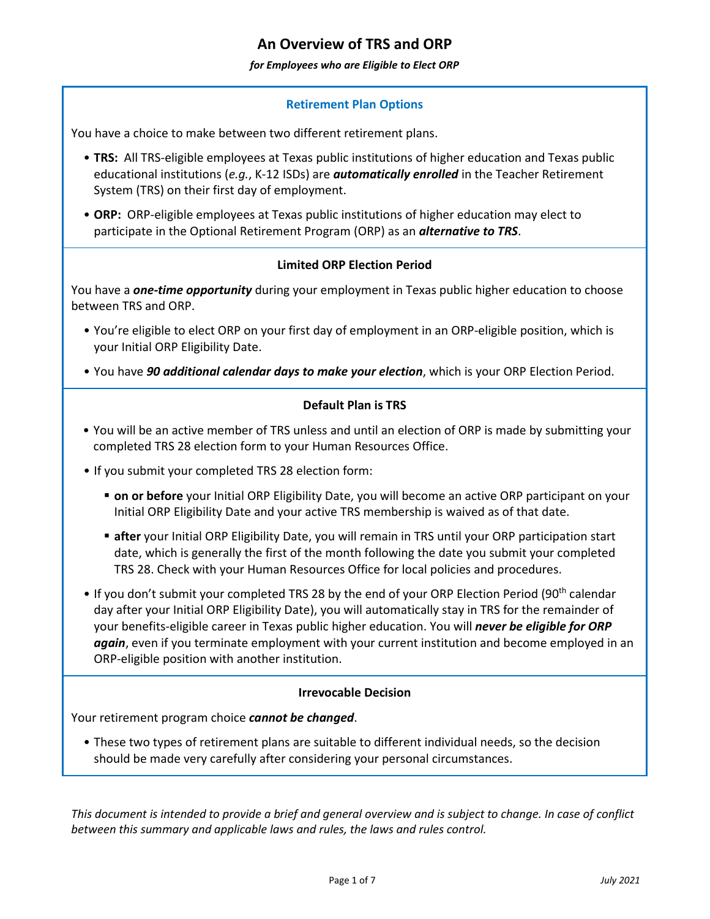# **An Overview of TRS and ORP**

#### *for Employees who are Eligible to Elect ORP*

## **Retirement Plan Options**

You have a choice to make between two different retirement plans.

- **TRS:** All TRS-eligible employees at Texas public institutions of higher education and Texas public educational institutions (*e.g.*, K-12 ISDs) are *automatically enrolled* in the Teacher Retirement System (TRS) on their first day of employment.
- **ORP:** ORP-eligible employees at Texas public institutions of higher education may elect to participate in the Optional Retirement Program (ORP) as an *alternative to TRS*.

## **Limited ORP Election Period**

You have a *one-time opportunity* during your employment in Texas public higher education to choose between TRS and ORP.

- You're eligible to elect ORP on your first day of employment in an ORP-eligible position, which is your Initial ORP Eligibility Date.
- You have *90 additional calendar days to make your election*, which is your ORP Election Period.

## **Default Plan is TRS**

- You will be an active member of TRS unless and until an election of ORP is made by submitting your completed TRS 28 election form to your Human Resources Office.
- If you submit your completed TRS 28 election form:
	- **on or before** your Initial ORP Eligibility Date, you will become an active ORP participant on your Initial ORP Eligibility Date and your active TRS membership is waived as of that date.
	- **after** your Initial ORP Eligibility Date, you will remain in TRS until your ORP participation start date, which is generally the first of the month following the date you submit your completed TRS 28. Check with your Human Resources Office for local policies and procedures.
- If you don't submit your completed TRS 28 by the end of your ORP Election Period (90<sup>th</sup> calendar day after your Initial ORP Eligibility Date), you will automatically stay in TRS for the remainder of your benefits-eligible career in Texas public higher education. You will *never be eligible for ORP again*, even if you terminate employment with your current institution and become employed in an ORP-eligible position with another institution.

#### **Irrevocable Decision**

Your retirement program choice *cannot be changed*.

• These two types of retirement plans are suitable to different individual needs, so the decision should be made very carefully after considering your personal circumstances.

*This document is intended to provide a brief and general overview and is subject to change. In case of conflict between this summary and applicable laws and rules, the laws and rules control.*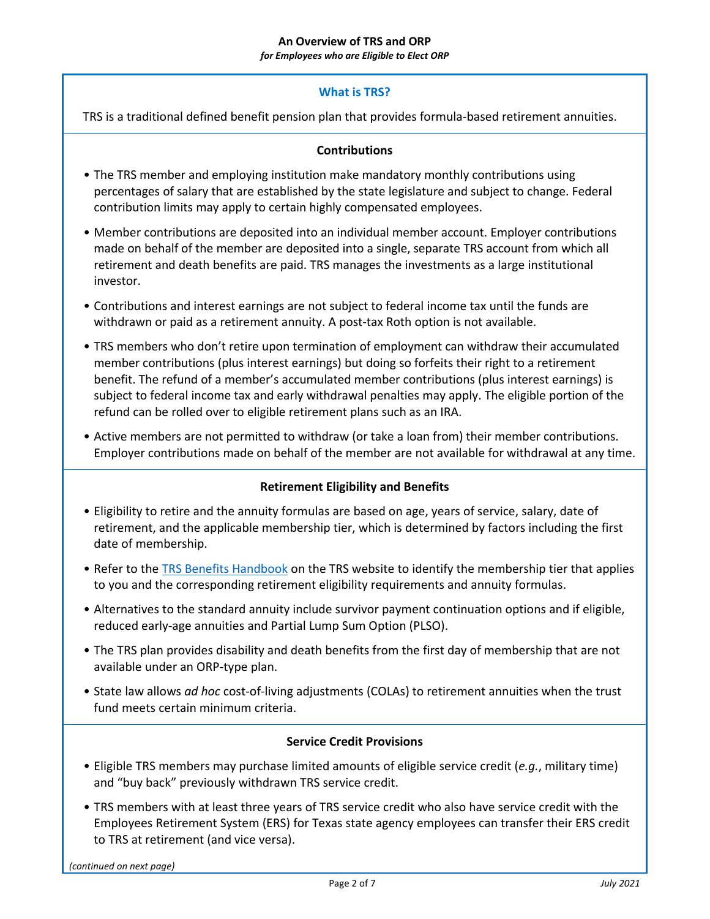## **What is TRS?**

TRS is a traditional defined benefit pension plan that provides formula-based retirement annuities.

#### **Contributions**

- The TRS member and employing institution make mandatory monthly contributions using percentages of salary that are established by the state legislature and subject to change. Federal contribution limits may apply to certain highly compensated employees.
- Member contributions are deposited into an individual member account. Employer contributions made on behalf of the member are deposited into a single, separate TRS account from which all retirement and death benefits are paid. TRS manages the investments as a large institutional investor.
- Contributions and interest earnings are not subject to federal income tax until the funds are withdrawn or paid as a retirement annuity. A post-tax Roth option is not available.
- TRS members who don't retire upon termination of employment can withdraw their accumulated member contributions (plus interest earnings) but doing so forfeits their right to a retirement benefit. The refund of a member's accumulated member contributions (plus interest earnings) is subject to federal income tax and early withdrawal penalties may apply. The eligible portion of the refund can be rolled over to eligible retirement plans such as an IRA.
- Active members are not permitted to withdraw (or take a loan from) their member contributions. Employer contributions made on behalf of the member are not available for withdrawal at any time.

#### **Retirement Eligibility and Benefits**

- Eligibility to retire and the annuity formulas are based on age, years of service, salary, date of retirement, and the applicable membership tier, which is determined by factors including the first date of membership.
- Refer to th[e TRS Benefits Handbook](https://www.trs.texas.gov/TRS%20Documents/benefits_handbook.pdf) on the TRS website to identify the membership tier that applies to you and the corresponding retirement eligibility requirements and annuity formulas.
- Alternatives to the standard annuity include survivor payment continuation options and if eligible, reduced early-age annuities and Partial Lump Sum Option (PLSO).
- The TRS plan provides disability and death benefits from the first day of membership that are not available under an ORP-type plan.
- State law allows *ad hoc* cost-of-living adjustments (COLAs) to retirement annuities when the trust fund meets certain minimum criteria.

#### **Service Credit Provisions**

- Eligible TRS members may purchase limited amounts of eligible service credit (*e.g.*, military time) and "buy back" previously withdrawn TRS service credit.
- TRS members with at least three years of TRS service credit who also have service credit with the Employees Retirement System (ERS) for Texas state agency employees can transfer their ERS credit to TRS at retirement (and vice versa).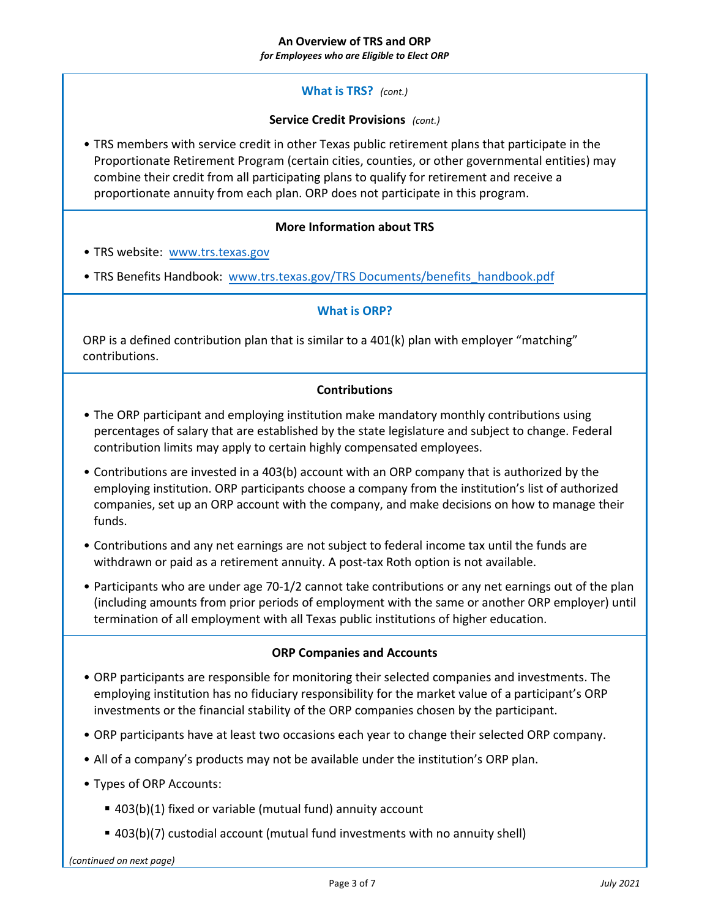*for Employees who are Eligible to Elect ORP*

# **What is TRS?** *(cont.)*

## **Service Credit Provisions** *(cont.)*

• TRS members with service credit in other Texas public retirement plans that participate in the Proportionate Retirement Program (certain cities, counties, or other governmental entities) may combine their credit from all participating plans to qualify for retirement and receive a proportionate annuity from each plan. ORP does not participate in this program.

## **More Information about TRS**

• TRS website: [www.trs.texas.gov](http://www.trs.texas.gov/)

• TRS Benefits Handbook: www.trs.texas.gov/TRS Documents/benefits handbook.pdf

#### **What is ORP?**

ORP is a defined contribution plan that is similar to a 401(k) plan with employer "matching" contributions.

## **Contributions**

- The ORP participant and employing institution make mandatory monthly contributions using percentages of salary that are established by the state legislature and subject to change. Federal contribution limits may apply to certain highly compensated employees.
- Contributions are invested in a 403(b) account with an ORP company that is authorized by the employing institution. ORP participants choose a company from the institution's list of authorized companies, set up an ORP account with the company, and make decisions on how to manage their funds.
- Contributions and any net earnings are not subject to federal income tax until the funds are withdrawn or paid as a retirement annuity. A post-tax Roth option is not available.
- Participants who are under age 70-1/2 cannot take contributions or any net earnings out of the plan (including amounts from prior periods of employment with the same or another ORP employer) until termination of all employment with all Texas public institutions of higher education.

#### **ORP Companies and Accounts**

- ORP participants are responsible for monitoring their selected companies and investments. The employing institution has no fiduciary responsibility for the market value of a participant's ORP investments or the financial stability of the ORP companies chosen by the participant.
- ORP participants have at least two occasions each year to change their selected ORP company.
- All of a company's products may not be available under the institution's ORP plan.
- Types of ORP Accounts:
	- 403(b)(1) fixed or variable (mutual fund) annuity account
	- 403(b)(7) custodial account (mutual fund investments with no annuity shell)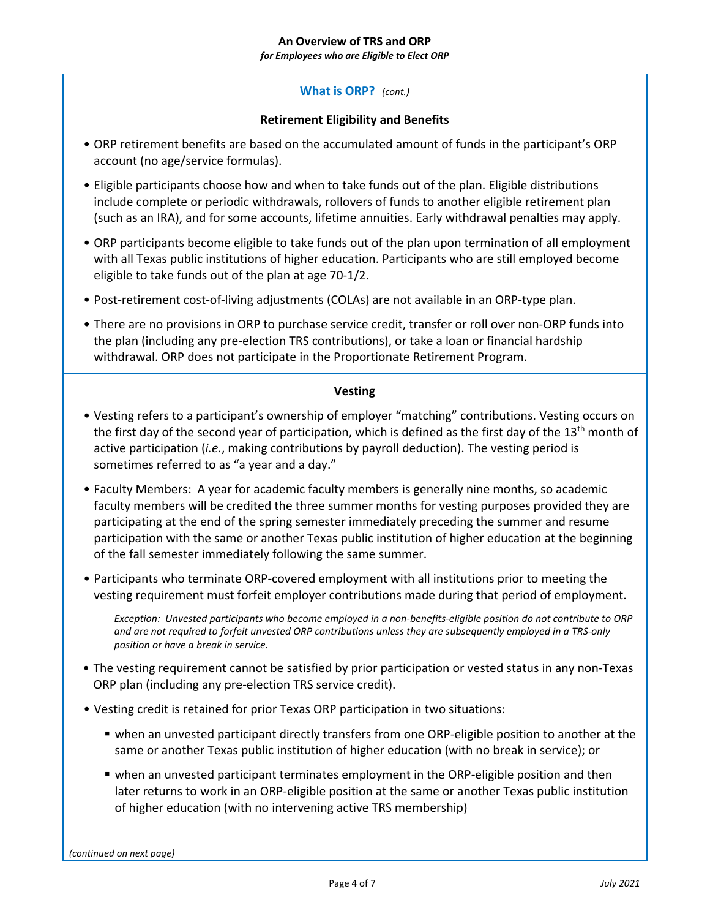# **What is ORP?** *(cont.)*

# **Retirement Eligibility and Benefits**

- ORP retirement benefits are based on the accumulated amount of funds in the participant's ORP account (no age/service formulas).
- Eligible participants choose how and when to take funds out of the plan. Eligible distributions include complete or periodic withdrawals, rollovers of funds to another eligible retirement plan (such as an IRA), and for some accounts, lifetime annuities. Early withdrawal penalties may apply.
- ORP participants become eligible to take funds out of the plan upon termination of all employment with all Texas public institutions of higher education. Participants who are still employed become eligible to take funds out of the plan at age 70-1/2.
- Post-retirement cost-of-living adjustments (COLAs) are not available in an ORP-type plan.
- There are no provisions in ORP to purchase service credit, transfer or roll over non-ORP funds into the plan (including any pre-election TRS contributions), or take a loan or financial hardship withdrawal. ORP does not participate in the Proportionate Retirement Program.

#### **Vesting**

- Vesting refers to a participant's ownership of employer "matching" contributions. Vesting occurs on the first day of the second year of participation, which is defined as the first day of the 13<sup>th</sup> month of active participation (*i.e.*, making contributions by payroll deduction). The vesting period is sometimes referred to as "a year and a day."
- Faculty Members: A year for academic faculty members is generally nine months, so academic faculty members will be credited the three summer months for vesting purposes provided they are participating at the end of the spring semester immediately preceding the summer and resume participation with the same or another Texas public institution of higher education at the beginning of the fall semester immediately following the same summer.
- Participants who terminate ORP-covered employment with all institutions prior to meeting the vesting requirement must forfeit employer contributions made during that period of employment.

*Exception: Unvested participants who become employed in a non-benefits-eligible position do not contribute to ORP and are not required to forfeit unvested ORP contributions unless they are subsequently employed in a TRS-only position or have a break in service.*

- The vesting requirement cannot be satisfied by prior participation or vested status in any non-Texas ORP plan (including any pre-election TRS service credit).
- Vesting credit is retained for prior Texas ORP participation in two situations:
	- when an unvested participant directly transfers from one ORP-eligible position to another at the same or another Texas public institution of higher education (with no break in service); or
	- when an unvested participant terminates employment in the ORP-eligible position and then later returns to work in an ORP-eligible position at the same or another Texas public institution of higher education (with no intervening active TRS membership)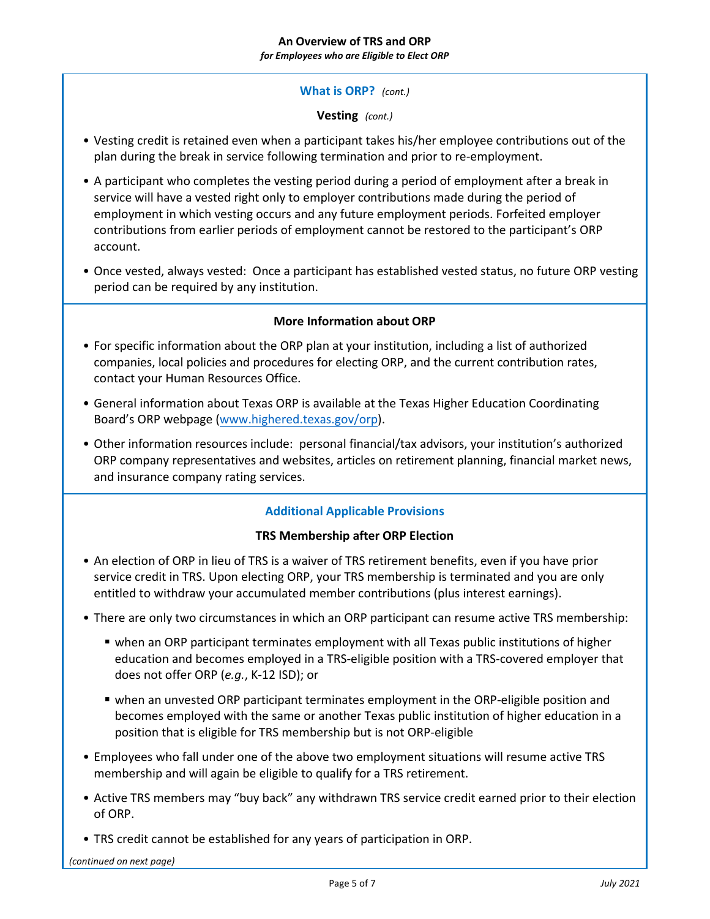# **What is ORP?** *(cont.)*

**Vesting** *(cont.)*

- Vesting credit is retained even when a participant takes his/her employee contributions out of the plan during the break in service following termination and prior to re-employment.
- A participant who completes the vesting period during a period of employment after a break in service will have a vested right only to employer contributions made during the period of employment in which vesting occurs and any future employment periods. Forfeited employer contributions from earlier periods of employment cannot be restored to the participant's ORP account.
- Once vested, always vested: Once a participant has established vested status, no future ORP vesting period can be required by any institution.

## **More Information about ORP**

- For specific information about the ORP plan at your institution, including a list of authorized companies, local policies and procedures for electing ORP, and the current contribution rates, contact your Human Resources Office.
- General information about Texas ORP is available at the Texas Higher Education Coordinating Board's ORP webpage (www.h[ighered.texas.gov](http://www.highered.texas.gov/orp)/orp).
- Other information resources include: personal financial/tax advisors, your institution's authorized ORP company representatives and websites, articles on retirement planning, financial market news, and insurance company rating services.

# **Additional Applicable Provisions**

# **TRS Membership after ORP Election**

- An election of ORP in lieu of TRS is a waiver of TRS retirement benefits, even if you have prior service credit in TRS. Upon electing ORP, your TRS membership is terminated and you are only entitled to withdraw your accumulated member contributions (plus interest earnings).
- There are only two circumstances in which an ORP participant can resume active TRS membership:
	- when an ORP participant terminates employment with all Texas public institutions of higher education and becomes employed in a TRS-eligible position with a TRS-covered employer that does not offer ORP (*e.g.*, K-12 ISD); or
	- when an unvested ORP participant terminates employment in the ORP-eligible position and becomes employed with the same or another Texas public institution of higher education in a position that is eligible for TRS membership but is not ORP-eligible
- Employees who fall under one of the above two employment situations will resume active TRS membership and will again be eligible to qualify for a TRS retirement.
- Active TRS members may "buy back" any withdrawn TRS service credit earned prior to their election of ORP.
- TRS credit cannot be established for any years of participation in ORP.

*(continued on next page)*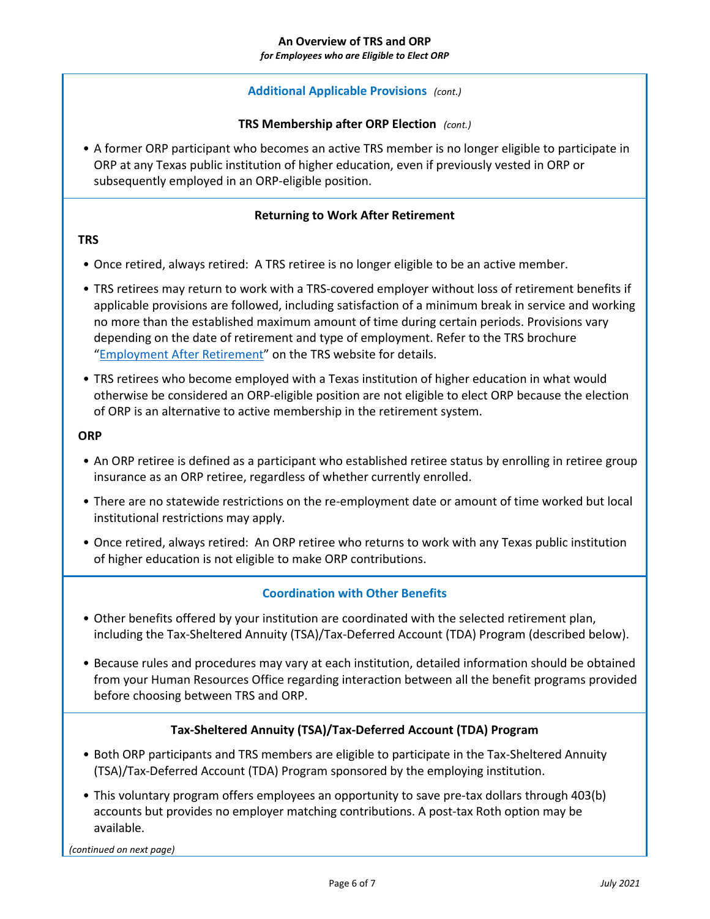# *for Employees who are Eligible to Elect ORP*

## **Additional Applicable Provisions** *(cont.)*

## **TRS Membership after ORP Election** *(cont.)*

• A former ORP participant who becomes an active TRS member is no longer eligible to participate in ORP at any Texas public institution of higher education, even if previously vested in ORP or subsequently employed in an ORP-eligible position.

## **Returning to Work After Retirement**

## **TRS**

- Once retired, always retired: A TRS retiree is no longer eligible to be an active member.
- TRS retirees may return to work with a TRS-covered employer without loss of retirement benefits if applicable provisions are followed, including satisfaction of a minimum break in service and working no more than the established maximum amount of time during certain periods. Provisions vary depending on the date of retirement and type of employment. Refer to the TRS brochure ["Employment After Retirement"](https://www.trs.texas.gov/TRS Documents/employment_after_retirement.pdf) on the TRS website for details.
- TRS retirees who become employed with a Texas institution of higher education in what would otherwise be considered an ORP-eligible position are not eligible to elect ORP because the election of ORP is an alternative to active membership in the retirement system.

## **ORP**

- An ORP retiree is defined as a participant who established retiree status by enrolling in retiree group insurance as an ORP retiree, regardless of whether currently enrolled.
- There are no statewide restrictions on the re-employment date or amount of time worked but local institutional restrictions may apply.
- Once retired, always retired: An ORP retiree who returns to work with any Texas public institution of higher education is not eligible to make ORP contributions.

# **Coordination with Other Benefits**

- Other benefits offered by your institution are coordinated with the selected retirement plan, including the Tax-Sheltered Annuity (TSA)/Tax-Deferred Account (TDA) Program (described below).
- Because rules and procedures may vary at each institution, detailed information should be obtained from your Human Resources Office regarding interaction between all the benefit programs provided before choosing between TRS and ORP.

# **Tax-Sheltered Annuity (TSA)/Tax-Deferred Account (TDA) Program**

- Both ORP participants and TRS members are eligible to participate in the Tax-Sheltered Annuity (TSA)/Tax-Deferred Account (TDA) Program sponsored by the employing institution.
- This voluntary program offers employees an opportunity to save pre-tax dollars through 403(b) accounts but provides no employer matching contributions. A post-tax Roth option may be available.

*(continued on next page)*